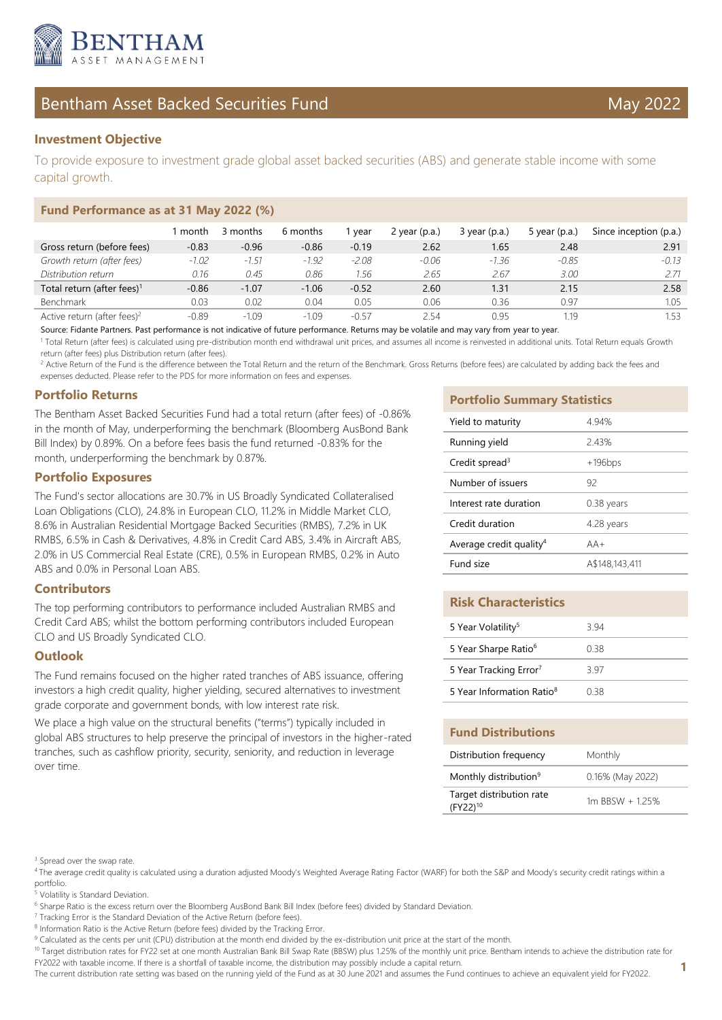

# Bentham Asset Backed Securities Fund May 2022

## **Investment Objective**

To provide exposure to investment grade global asset backed securities (ABS) and generate stable income with some capital growth.

#### **Fund Performance as at 31 May 2022 (%)**

|                                         | month   | 3 months | 6 months | l vear  | 2 year $(p.a.)$ | $3$ year (p.a.) | 5 year $(p.a.)$ | Since inception (p.a.) |
|-----------------------------------------|---------|----------|----------|---------|-----------------|-----------------|-----------------|------------------------|
| Gross return (before fees)              | $-0.83$ | $-0.96$  | $-0.86$  | $-0.19$ | 2.62            | 1.65            | 2.48            | 2.91                   |
| Growth return (after fees)              | $-1.02$ | $-1.51$  | $-1.92$  | $-2.08$ | $-0.06$         | $-1.36$         | $-0.85$         | $-0.13$                |
| Distribution return                     | 0.16    | 0.45     | 0.86     | 1.56    | 2.65            | 2.67            | 3.00            |                        |
| Total return (after fees) <sup>1</sup>  | $-0.86$ | $-1.07$  | $-1.06$  | $-0.52$ | 2.60            | 1.31            | 2.15            | 2.58                   |
| <b>Benchmark</b>                        | 0.03    | 0.02     | 0.04     | 0.05    | 0.06            | 0.36            | 0.97            | 1.05                   |
| Active return (after fees) <sup>2</sup> | $-0.89$ | $-1.09$  | $-1.09$  | $-0.57$ | 2 54            | 0.95            | 1.19            | 1.53                   |

Source: Fidante Partners. Past performance is not indicative of future performance. Returns may be volatile and may vary from year to year.

<sup>1</sup> Total Return (after fees) is calculated using pre-distribution month end withdrawal unit prices, and assumes all income is reinvested in additional units. Total Return equals Growth return (after fees) plus Distribution return (after fees).

<sup>2</sup> Active Return of the Fund is the difference between the Total Return and the return of the Benchmark. Gross Returns (before fees) are calculated by adding back the fees and expenses deducted. Please refer to the PDS for more information on fees and expenses.

#### **Portfolio Returns**

The Bentham Asset Backed Securities Fund had a total return (after fees) of -0.86% in the month of May, underperforming the benchmark (Bloomberg AusBond Bank Bill Index) by 0.89%. On a before fees basis the fund returned -0.83% for the month, underperforming the benchmark by 0.87%.

#### **Portfolio Exposures**

The Fund's sector allocations are 30.7% in US Broadly Syndicated Collateralised Loan Obligations (CLO), 24.8% in European CLO, 11.2% in Middle Market CLO, 8.6% in Australian Residential Mortgage Backed Securities (RMBS), 7.2% in UK RMBS, 6.5% in Cash & Derivatives, 4.8% in Credit Card ABS, 3.4% in Aircraft ABS, 2.0% in US Commercial Real Estate (CRE), 0.5% in European RMBS, 0.2% in Auto ABS and 0.0% in Personal Loan ABS.

#### **Contributors**

The top performing contributors to performance included Australian RMBS and Credit Card ABS; whilst the bottom performing contributors included European CLO and US Broadly Syndicated CLO.

#### **Outlook**

The Fund remains focused on the higher rated tranches of ABS issuance, offering investors a high credit quality, higher yielding, secured alternatives to investment grade corporate and government bonds, with low interest rate risk.

We place a high value on the structural benefits ("terms") typically included in global ABS structures to help preserve the principal of investors in the higher-rated tranches, such as cashflow priority, security, seniority, and reduction in leverage over time.

#### **Portfolio Summary Statistics**

| Yield to maturity                   | 4.94%          |
|-------------------------------------|----------------|
| Running yield                       | 2.43%          |
| Credit spread <sup>3</sup>          | $+196$ bps     |
| Number of issuers                   | 92             |
| Interest rate duration              | 0.38 years     |
| Credit duration                     | 4.28 years     |
| Average credit quality <sup>4</sup> | $AA+$          |
| Fund size                           | A\$148,143,411 |

#### **Risk Characteristics**

| 5 Year Volatility <sup>5</sup>        | 3 94 |
|---------------------------------------|------|
| 5 Year Sharpe Ratio <sup>6</sup>      | O 38 |
| 5 Year Tracking Error <sup>7</sup>    | 3 97 |
| 5 Year Information Ratio <sup>8</sup> | 0 38 |

#### **Fund Distributions**

| Distribution frequency                           | Monthly          |  |  |  |
|--------------------------------------------------|------------------|--|--|--|
| Monthly distribution <sup>9</sup>                | 0.16% (May 2022) |  |  |  |
| Target distribution rate<br>(FY22) <sup>10</sup> | 1m BBSW + 125%   |  |  |  |

<sup>3</sup> Spread over the swap rate.

<sup>4</sup>The average credit quality is calculated using a duration adjusted Moody's Weighted Average Rating Factor (WARF) for both the S&P and Moody's security credit ratings within a portfolio.

5 Volatility is Standard Deviation.

<sup>7</sup> Tracking Error is the Standard Deviation of the Active Return (before fees).

10 Target distribution rates for FY22 set at one month Australian Bank Bill Swap Rate (BBSW) plus 1.25% of the monthly unit price. Bentham intends to achieve the distribution rate for FY2022 with taxable income. If there is a shortfall of taxable income, the distribution may possibly include a capital return.

The current distribution rate setting was based on the running yield of the Fund as at 30 June 2021 and assumes the Fund continues to achieve an equivalent yield for FY2022.

<sup>&</sup>lt;sup>6</sup> Sharpe Ratio is the excess return over the Bloomberg AusBond Bank Bill Index (before fees) divided by Standard Deviation.

<sup>&</sup>lt;sup>8</sup> Information Ratio is the Active Return (before fees) divided by the Tracking Error.

<sup>&</sup>lt;sup>9</sup> Calculated as the cents per unit (CPU) distribution at the month end divided by the ex-distribution unit price at the start of the month.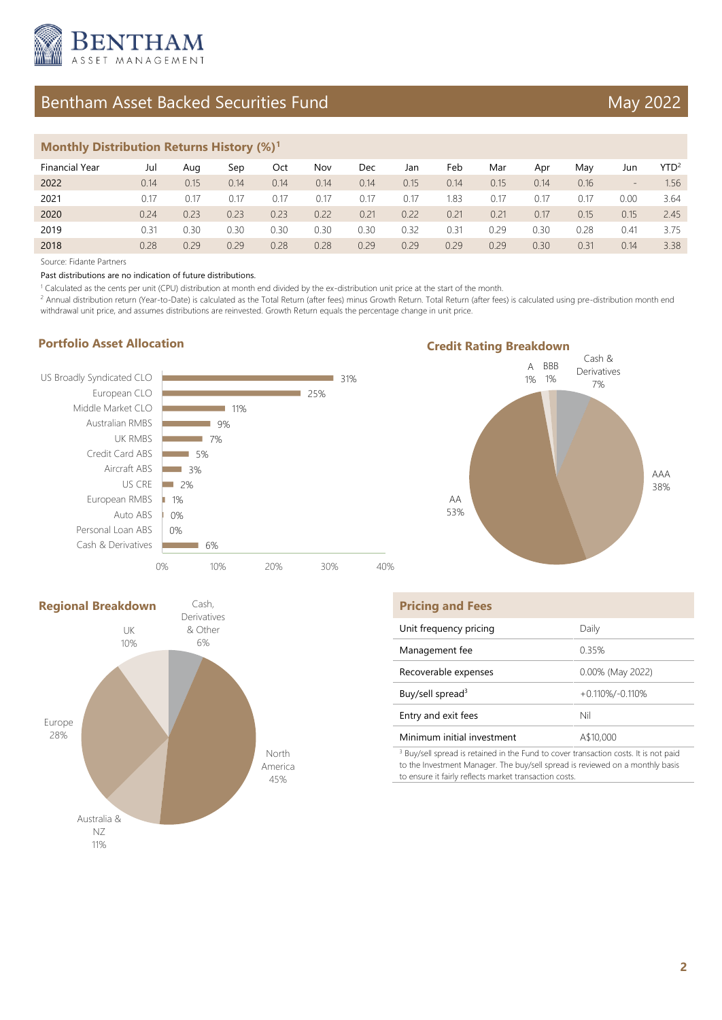

# Bentham Asset Backed Securities Fund May 2022

### **Monthly Distribution Returns History (%)<sup>1</sup>**

| <b>Financial Year</b> | Jul  | Aua  | Sep  | Oct  | Nov  | Dec  | Jan  | Feb  | Mar  | Apr  | Mav  | Jun  | YTD <sup>2</sup> |
|-----------------------|------|------|------|------|------|------|------|------|------|------|------|------|------------------|
| 2022                  | 0.14 | 0.15 | 0.14 | 0.14 | 0.14 | 0.14 | 0.15 | 0.14 | 0.15 | 0.14 | 0.16 | -    | 1.56             |
| 2021                  | 0.17 | 0.17 | 0.17 | 0.17 | 0.17 | 0.17 | 0.17 | 1.83 | 0.17 | 0.17 | 0.17 | 0.00 | 3.64             |
| 2020                  | 0.24 | 0.23 | 0.23 | 0.23 | 0.22 | 0.21 | 0.22 | 0.21 | 0.21 | 0.17 | 0.15 | 0.15 | 2.45             |
| 2019                  | 0.31 | 0.30 | 0.30 | 0.30 | 0.30 | 0.30 | 0.32 | 0.31 | 0.29 | 0.30 | 0.28 | 0.41 | 3.75             |
| 2018                  | 0.28 | 0.29 | 0.29 | 0.28 | 0.28 | 0.29 | 0.29 | 0.29 | 0.29 | 0.30 | 0.31 | 0.14 | 3.38             |

Source: Fidante Partners

Past distributions are no indication of future distributions.

<sup>1</sup> Calculated as the cents per unit (CPU) distribution at month end divided by the ex-distribution unit price at the start of the month.

<sup>2</sup> Annual distribution return (Year-to-Date) is calculated as the Total Return (after fees) minus Growth Return. Total Return (after fees) is calculated using pre-distribution month end withdrawal unit price, and assumes distributions are reinvested. Growth Return equals the percentage change in unit price.

### **Portfolio Asset Allocation**







| <b>Pricing and Fees</b>                                                              |                     |
|--------------------------------------------------------------------------------------|---------------------|
| Unit frequency pricing                                                               | Daily               |
| Management fee                                                                       | 0.35%               |
| Recoverable expenses                                                                 | 0.00% (May 2022)    |
| Buy/sell spread <sup>3</sup>                                                         | $+0.110\%/$ -0.110% |
| Entry and exit fees                                                                  | Nil                 |
| Minimum initial investment                                                           | A\$10,000           |
| 3 Ruy/cell enread is retained in the Fund to cover transaction costs. It is not paid |                     |

 Buy/sell spread is retained in the Fund to cover transaction costs. It is not paid to the Investment Manager. The buy/sell spread is reviewed on a monthly basis to ensure it fairly reflects market transaction costs.